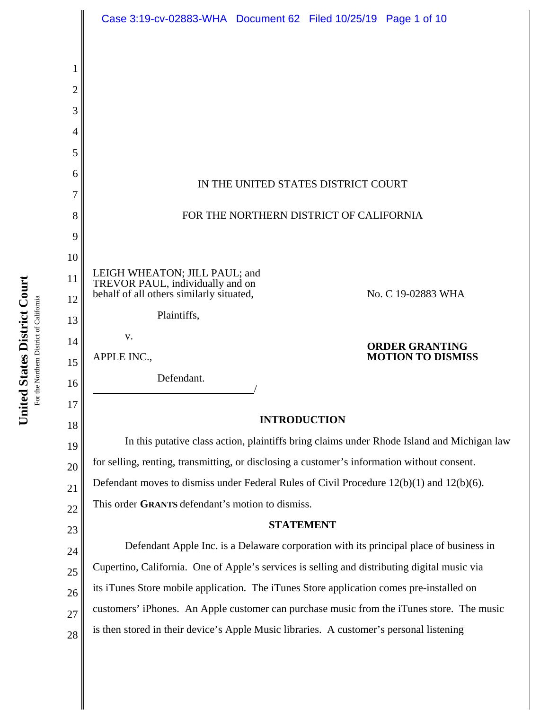|                | Case 3:19-cv-02883-WHA Document 62 Filed 10/25/19 Page 1 of 10                                |
|----------------|-----------------------------------------------------------------------------------------------|
|                |                                                                                               |
| 1              |                                                                                               |
| $\overline{2}$ |                                                                                               |
| 3              |                                                                                               |
| 4              |                                                                                               |
| 5              |                                                                                               |
| 6              | IN THE UNITED STATES DISTRICT COURT                                                           |
| 7              |                                                                                               |
| 8              | FOR THE NORTHERN DISTRICT OF CALIFORNIA                                                       |
| 9              |                                                                                               |
| 10             |                                                                                               |
| 11             | LEIGH WHEATON; JILL PAUL; and<br>TREVOR PAUL, individually and on                             |
| 12             | behalf of all others similarly situated,<br>No. C 19-02883 WHA                                |
| 13             | Plaintiffs,                                                                                   |
| 14             | V.<br><b>ORDER GRANTING</b><br><b>MOTION TO DISMISS</b><br>APPLE INC.,                        |
| 15             | Defendant.                                                                                    |
| 16             |                                                                                               |
| 17             | <b>INTRODUCTION</b>                                                                           |
| 18             | In this putative class action, plaintiffs bring claims under Rhode Island and Michigan law    |
| 19<br>20       | for selling, renting, transmitting, or disclosing a customer's information without consent.   |
| 21             | Defendant moves to dismiss under Federal Rules of Civil Procedure $12(b)(1)$ and $12(b)(6)$ . |
| 22             | This order GRANTS defendant's motion to dismiss.                                              |
| 23             | <b>STATEMENT</b>                                                                              |
| 24             | Defendant Apple Inc. is a Delaware corporation with its principal place of business in        |
| 25             | Cupertino, California. One of Apple's services is selling and distributing digital music via  |
| 26             | its iTunes Store mobile application. The iTunes Store application comes pre-installed on      |
| 27             | customers' iPhones. An Apple customer can purchase music from the iTunes store. The music     |
| 28             | is then stored in their device's Apple Music libraries. A customer's personal listening       |

United States District Court **United States District Court** For the Northern District of California For the Northern District of California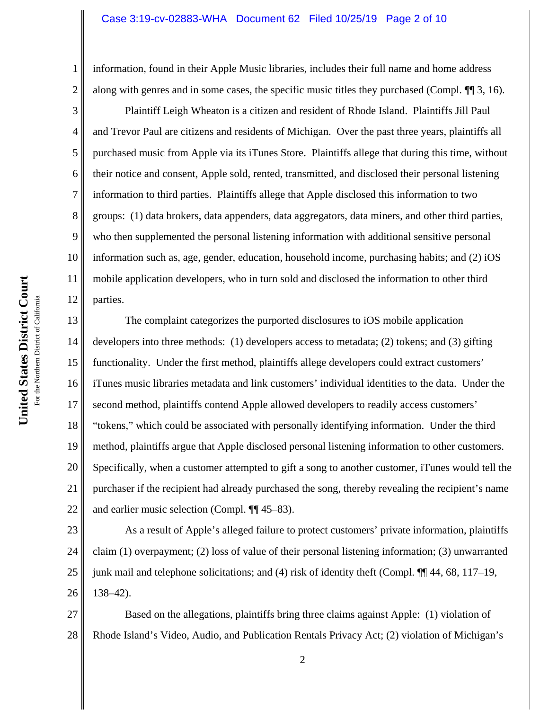#### Case 3:19-cv-02883-WHA Document 62 Filed 10/25/19 Page 2 of 10

information, found in their Apple Music libraries, includes their full name and home address along with genres and in some cases, the specific music titles they purchased (Compl.  $\P$  3, 16).

Plaintiff Leigh Wheaton is a citizen and resident of Rhode Island. Plaintiffs Jill Paul and Trevor Paul are citizens and residents of Michigan. Over the past three years, plaintiffs all purchased music from Apple via its iTunes Store. Plaintiffs allege that during this time, without their notice and consent, Apple sold, rented, transmitted, and disclosed their personal listening information to third parties. Plaintiffs allege that Apple disclosed this information to two groups: (1) data brokers, data appenders, data aggregators, data miners, and other third parties, who then supplemented the personal listening information with additional sensitive personal information such as, age, gender, education, household income, purchasing habits; and (2) iOS mobile application developers, who in turn sold and disclosed the information to other third parties.

13 14 15 16 17 18 19 20 21 22 The complaint categorizes the purported disclosures to iOS mobile application developers into three methods: (1) developers access to metadata; (2) tokens; and (3) gifting functionality. Under the first method, plaintiffs allege developers could extract customers' iTunes music libraries metadata and link customers' individual identities to the data. Under the second method, plaintiffs contend Apple allowed developers to readily access customers' "tokens," which could be associated with personally identifying information. Under the third method, plaintiffs argue that Apple disclosed personal listening information to other customers. Specifically, when a customer attempted to gift a song to another customer, iTunes would tell the purchaser if the recipient had already purchased the song, thereby revealing the recipient's name and earlier music selection (Compl. ¶¶ 45–83).

23 24 25 26 As a result of Apple's alleged failure to protect customers' private information, plaintiffs claim (1) overpayment; (2) loss of value of their personal listening information; (3) unwarranted junk mail and telephone solicitations; and (4) risk of identity theft (Compl. ¶¶ 44, 68, 117–19, 138–42).

27 28 Based on the allegations, plaintiffs bring three claims against Apple: (1) violation of Rhode Island's Video, Audio, and Publication Rentals Privacy Act; (2) violation of Michigan's

1

2

3

4

5

6

7

8

9

10

11

12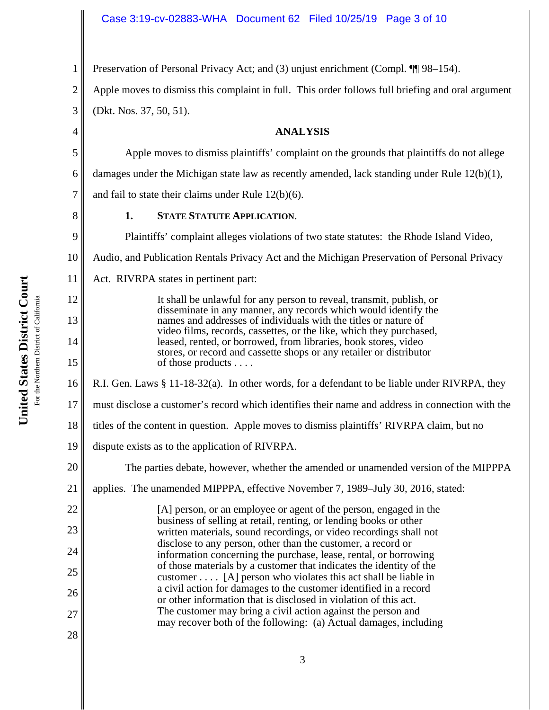Preservation of Personal Privacy Act; and (3) unjust enrichment (Compl. ¶¶ 98–154).

Apple moves to dismiss this complaint in full. This order follows full briefing and oral argument (Dkt. Nos. 37, 50, 51).

# **ANALYSIS**

Apple moves to dismiss plaintiffs' complaint on the grounds that plaintiffs do not allege

damages under the Michigan state law as recently amended, lack standing under Rule 12(b)(1),

and fail to state their claims under Rule 12(b)(6).

# **1. STATE STATUTE APPLICATION**.

Plaintiffs' complaint alleges violations of two state statutes: the Rhode Island Video, Audio, and Publication Rentals Privacy Act and the Michigan Preservation of Personal Privacy

11 Act. RIVRPA states in pertinent part:

> It shall be unlawful for any person to reveal, transmit, publish, or disseminate in any manner, any records which would identify the names and addresses of individuals with the titles or nature of video films, records, cassettes, or the like, which they purchased, leased, rented, or borrowed, from libraries, book stores, video stores, or record and cassette shops or any retailer or distributor of those products . . . .

16 R.I. Gen. Laws § 11-18-32(a). In other words, for a defendant to be liable under RIVRPA, they

- 17 must disclose a customer's record which identifies their name and address in connection with the
- 18 titles of the content in question. Apple moves to dismiss plaintiffs' RIVRPA claim, but no
- 19 dispute exists as to the application of RIVRPA.

20 21 The parties debate, however, whether the amended or unamended version of the MIPPPA applies. The unamended MIPPPA, effective November 7, 1989–July 30, 2016, stated:

[A] person, or an employee or agent of the person, engaged in the business of selling at retail, renting, or lending books or other written materials, sound recordings, or video recordings shall not disclose to any person, other than the customer, a record or information concerning the purchase, lease, rental, or borrowing of those materials by a customer that indicates the identity of the customer  $\dots$  [A] person who violates this act shall be liable in a civil action for damages to the customer identified in a record or other information that is disclosed in violation of this act. The customer may bring a civil action against the person and may recover both of the following: (a) Actual damages, including

For the Northern District of California For the Northern District of California 1

2

3

4

5

6

7

8

9

10

12

13

14

15

22

23

24

25

26

27

28

**United States District Court**

United States District Court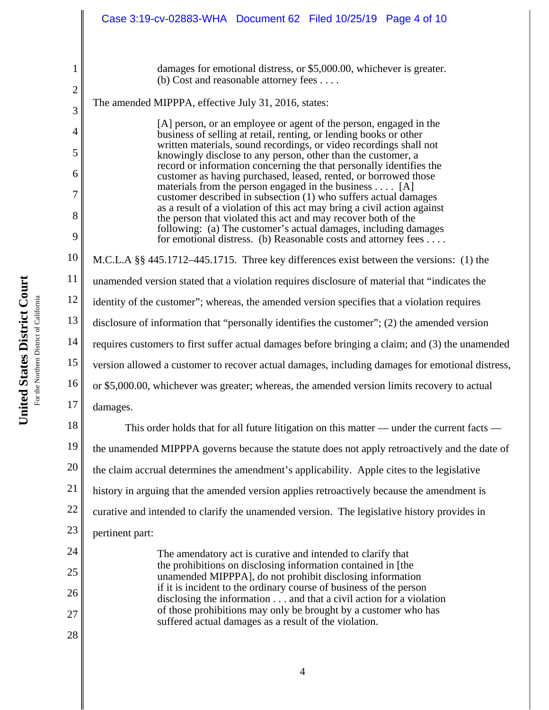|                     | Case 3:19-cv-02883-WHA Document 62 Filed 10/25/19 Page 4 of 10                                                                                                                                  |
|---------------------|-------------------------------------------------------------------------------------------------------------------------------------------------------------------------------------------------|
|                     |                                                                                                                                                                                                 |
| 1                   | damages for emotional distress, or \$5,000.00, whichever is greater.<br>(b) Cost and reasonable attorney fees $\dots$                                                                           |
| $\overline{c}$<br>3 | The amended MIPPPA, effective July 31, 2016, states:                                                                                                                                            |
| 4                   | [A] person, or an employee or agent of the person, engaged in the<br>business of selling at retail, renting, or lending books or other                                                          |
| 5                   | written materials, sound recordings, or video recordings shall not<br>knowingly disclose to any person, other than the customer, a                                                              |
| 6                   | record or information concerning the that personally identifies the<br>customer as having purchased, leased, rented, or borrowed those                                                          |
| 7                   | materials from the person engaged in the business [A]<br>customer described in subsection (1) who suffers actual damages                                                                        |
| 8                   | as a result of a violation of this act may bring a civil action against<br>the person that violated this act and may recover both of the                                                        |
| 9                   | following: (a) The customer's actual damages, including damages<br>for emotional distress. (b) Reasonable costs and attorney fees                                                               |
| 10                  | M.C.L.A §§ 445.1712–445.1715. Three key differences exist between the versions: (1) the                                                                                                         |
| 11                  | unamended version stated that a violation requires disclosure of material that "indicates the                                                                                                   |
| 12                  | identity of the customer"; whereas, the amended version specifies that a violation requires                                                                                                     |
| 13                  | disclosure of information that "personally identifies the customer"; (2) the amended version                                                                                                    |
| 14                  | requires customers to first suffer actual damages before bringing a claim; and (3) the unamended                                                                                                |
| 15                  | version allowed a customer to recover actual damages, including damages for emotional distress,                                                                                                 |
| 16                  | or \$5,000.00, whichever was greater; whereas, the amended version limits recovery to actual                                                                                                    |
| 17                  | damages.                                                                                                                                                                                        |
| 18                  | This order holds that for all future litigation on this matter — under the current facts —                                                                                                      |
| 19                  | the unamended MIPPPA governs because the statute does not apply retroactively and the date of                                                                                                   |
| 20                  | the claim accrual determines the amendment's applicability. Apple cites to the legislative                                                                                                      |
| 21                  | history in arguing that the amended version applies retroactively because the amendment is                                                                                                      |
| 22                  | curative and intended to clarify the unamended version. The legislative history provides in                                                                                                     |
| 23                  | pertinent part:                                                                                                                                                                                 |
| 24                  | The amendatory act is curative and intended to clarify that                                                                                                                                     |
| 25                  | the prohibitions on disclosing information contained in [the<br>unamended MIPPPA], do not prohibit disclosing information<br>if it is incident to the ordinary course of business of the person |
| 26                  | disclosing the information and that a civil action for a violation                                                                                                                              |
| 27                  | of those prohibitions may only be brought by a customer who has<br>suffered actual damages as a result of the violation.                                                                        |
| 28                  |                                                                                                                                                                                                 |

United States District Court **United States District Court** For the Northern District of California For the Northern District of California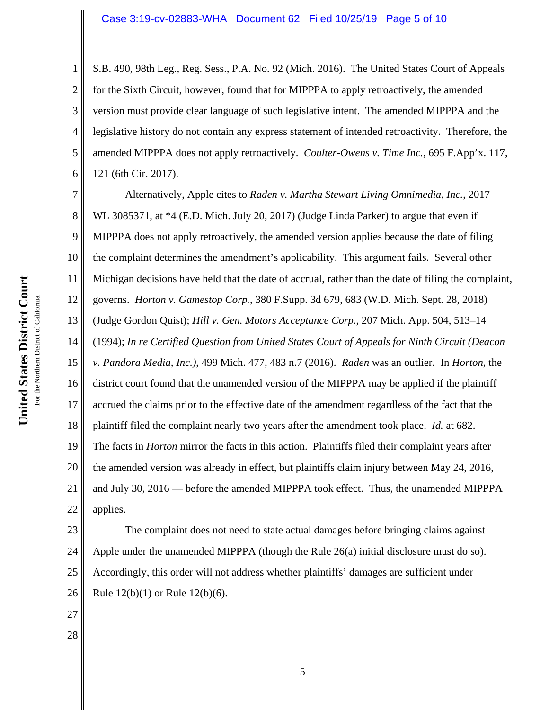### Case 3:19-cv-02883-WHA Document 62 Filed 10/25/19 Page 5 of 10

2 3 4 5 6 S.B. 490, 98th Leg., Reg. Sess., P.A. No. 92 (Mich. 2016). The United States Court of Appeals for the Sixth Circuit, however, found that for MIPPPA to apply retroactively, the amended version must provide clear language of such legislative intent. The amended MIPPPA and the legislative history do not contain any express statement of intended retroactivity. Therefore, the amended MIPPPA does not apply retroactively. *Coulter-Owens v. Time Inc.*, 695 F.App'x. 117, 121 (6th Cir. 2017).

7 8 9 10 11 12 13 14 15 16 17 18 19 20 21 22 Alternatively, Apple cites to *Raden v. Martha Stewart Living Omnimedia*, *Inc.*, 2017 WL 3085371, at \*4 (E.D. Mich. July 20, 2017) (Judge Linda Parker) to argue that even if MIPPPA does not apply retroactively, the amended version applies because the date of filing the complaint determines the amendment's applicability. This argument fails. Several other Michigan decisions have held that the date of accrual, rather than the date of filing the complaint, governs. *Horton v. Gamestop Corp.*, 380 F.Supp. 3d 679, 683 (W.D. Mich. Sept. 28, 2018) (Judge Gordon Quist); *Hill v. Gen. Motors Acceptance Corp.*, 207 Mich. App. 504, 513–14 (1994); *In re Certified Question from United States Court of Appeals for Ninth Circuit (Deacon v. Pandora Media, Inc.)*, 499 Mich. 477, 483 n.7 (2016). *Raden* was an outlier. In *Horton*, the district court found that the unamended version of the MIPPPA may be applied if the plaintiff accrued the claims prior to the effective date of the amendment regardless of the fact that the plaintiff filed the complaint nearly two years after the amendment took place. *Id.* at 682. The facts in *Horton* mirror the facts in this action. Plaintiffs filed their complaint years after the amended version was already in effect, but plaintiffs claim injury between May 24, 2016, and July 30, 2016 — before the amended MIPPPA took effect. Thus, the unamended MIPPPA applies.

23 24 25 26 The complaint does not need to state actual damages before bringing claims against Apple under the unamended MIPPPA (though the Rule 26(a) initial disclosure must do so). Accordingly, this order will not address whether plaintiffs' damages are sufficient under Rule 12(b)(1) or Rule 12(b)(6).

27

28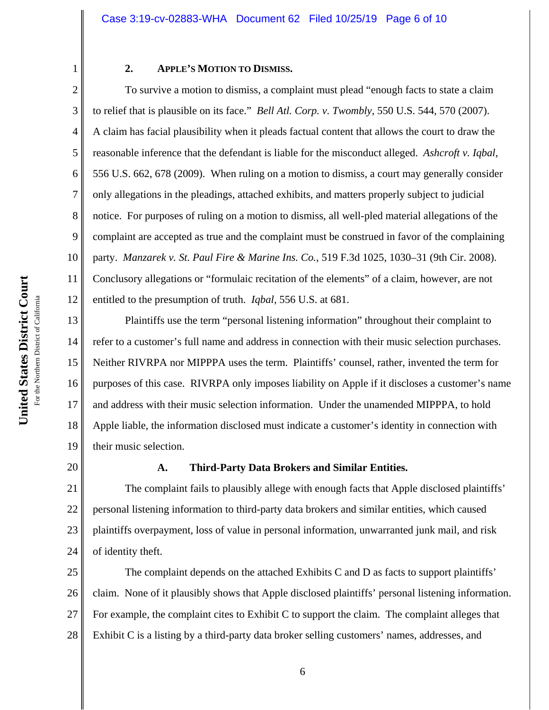## **2. APPLE'S MOTION TO DISMISS.**

10 12 To survive a motion to dismiss, a complaint must plead "enough facts to state a claim to relief that is plausible on its face." *Bell Atl. Corp. v. Twombly*, 550 U.S. 544, 570 (2007). A claim has facial plausibility when it pleads factual content that allows the court to draw the reasonable inference that the defendant is liable for the misconduct alleged. *Ashcroft v. Iqbal*, 556 U.S. 662, 678 (2009). When ruling on a motion to dismiss, a court may generally consider only allegations in the pleadings, attached exhibits, and matters properly subject to judicial notice. For purposes of ruling on a motion to dismiss, all well-pled material allegations of the complaint are accepted as true and the complaint must be construed in favor of the complaining party. *Manzarek v. St. Paul Fire & Marine Ins. Co.*, 519 F.3d 1025, 1030–31 (9th Cir. 2008). Conclusory allegations or "formulaic recitation of the elements" of a claim, however, are not entitled to the presumption of truth. *Iqbal*, 556 U.S. at 681.

13 14 15 16 17 18 19 Plaintiffs use the term "personal listening information" throughout their complaint to refer to a customer's full name and address in connection with their music selection purchases. Neither RIVRPA nor MIPPPA uses the term. Plaintiffs' counsel, rather, invented the term for purposes of this case. RIVRPA only imposes liability on Apple if it discloses a customer's name and address with their music selection information. Under the unamended MIPPPA, to hold Apple liable, the information disclosed must indicate a customer's identity in connection with their music selection.

20

1

2

3

4

5

6

7

8

9

11

### **A. Third-Party Data Brokers and Similar Entities.**

21 22 23 24 The complaint fails to plausibly allege with enough facts that Apple disclosed plaintiffs' personal listening information to third-party data brokers and similar entities, which caused plaintiffs overpayment, loss of value in personal information, unwarranted junk mail, and risk of identity theft.

25 26 27 28 The complaint depends on the attached Exhibits C and D as facts to support plaintiffs' claim. None of it plausibly shows that Apple disclosed plaintiffs' personal listening information. For example, the complaint cites to Exhibit C to support the claim. The complaint alleges that Exhibit C is a listing by a third-party data broker selling customers' names, addresses, and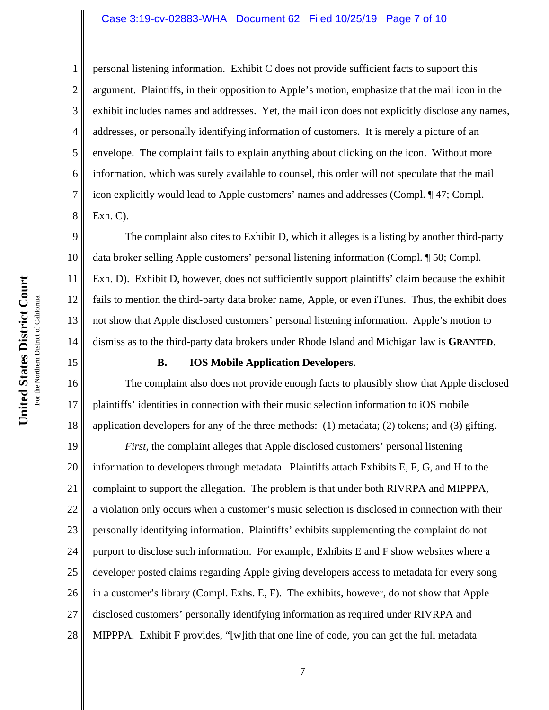#### Case 3:19-cv-02883-WHA Document 62 Filed 10/25/19 Page 7 of 10

personal listening information. Exhibit C does not provide sufficient facts to support this argument. Plaintiffs, in their opposition to Apple's motion, emphasize that the mail icon in the exhibit includes names and addresses. Yet, the mail icon does not explicitly disclose any names, addresses, or personally identifying information of customers. It is merely a picture of an envelope. The complaint fails to explain anything about clicking on the icon. Without more information, which was surely available to counsel, this order will not speculate that the mail icon explicitly would lead to Apple customers' names and addresses (Compl. ¶ 47; Compl. Exh. C).

9 10 11 12 13 14 The complaint also cites to Exhibit D, which it alleges is a listing by another third-party data broker selling Apple customers' personal listening information (Compl. ¶ 50; Compl. Exh. D). Exhibit D, however, does not sufficiently support plaintiffs' claim because the exhibit fails to mention the third-party data broker name, Apple, or even iTunes. Thus, the exhibit does not show that Apple disclosed customers' personal listening information. Apple's motion to dismiss as to the third-party data brokers under Rhode Island and Michigan law is **GRANTED**.

### **B. IOS Mobile Application Developers**.

The complaint also does not provide enough facts to plausibly show that Apple disclosed plaintiffs' identities in connection with their music selection information to iOS mobile application developers for any of the three methods:  $(1)$  metadata;  $(2)$  tokens; and  $(3)$  gifting.

19 20 21 22 23 24 25 26 27 28 *First*, the complaint alleges that Apple disclosed customers' personal listening information to developers through metadata. Plaintiffs attach Exhibits E, F, G, and H to the complaint to support the allegation. The problem is that under both RIVRPA and MIPPPA, a violation only occurs when a customer's music selection is disclosed in connection with their personally identifying information. Plaintiffs' exhibits supplementing the complaint do not purport to disclose such information. For example, Exhibits E and F show websites where a developer posted claims regarding Apple giving developers access to metadata for every song in a customer's library (Compl. Exhs. E, F). The exhibits, however, do not show that Apple disclosed customers' personally identifying information as required under RIVRPA and MIPPPA. Exhibit F provides, "[w]ith that one line of code, you can get the full metadata

1

2

3

4

5

6

7

8

15

16

17

18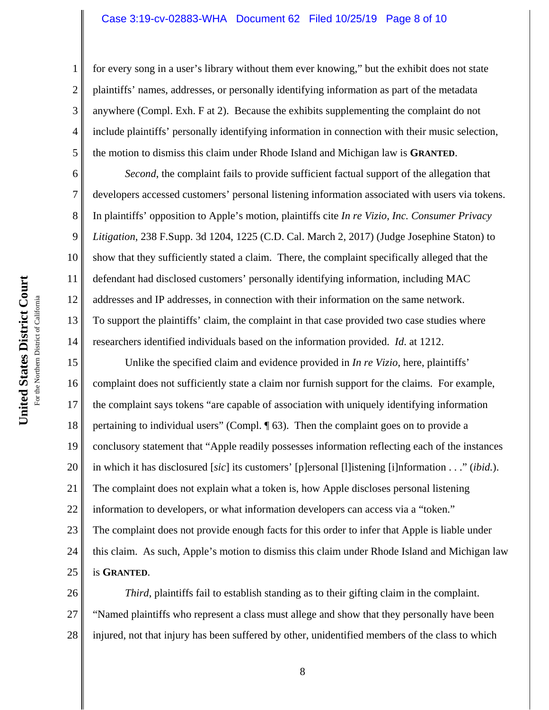#### Case 3:19-cv-02883-WHA Document 62 Filed 10/25/19 Page 8 of 10

for every song in a user's library without them ever knowing," but the exhibit does not state plaintiffs' names, addresses, or personally identifying information as part of the metadata anywhere (Compl. Exh. F at 2). Because the exhibits supplementing the complaint do not include plaintiffs' personally identifying information in connection with their music selection, the motion to dismiss this claim under Rhode Island and Michigan law is **GRANTED**.

10 11 12 13 *Second*, the complaint fails to provide sufficient factual support of the allegation that developers accessed customers' personal listening information associated with users via tokens. In plaintiffs' opposition to Apple's motion, plaintiffs cite *In re Vizio, Inc. Consumer Privacy Litigation*, 238 F.Supp. 3d 1204, 1225 (C.D. Cal. March 2, 2017) (Judge Josephine Staton) to show that they sufficiently stated a claim. There, the complaint specifically alleged that the defendant had disclosed customers' personally identifying information, including MAC addresses and IP addresses, in connection with their information on the same network. To support the plaintiffs' claim, the complaint in that case provided two case studies where researchers identified individuals based on the information provided. *Id*. at 1212.

15 16 17 18 19 20 21 22 23 24 25 Unlike the specified claim and evidence provided in *In re Vizio*, here, plaintiffs' complaint does not sufficiently state a claim nor furnish support for the claims. For example, the complaint says tokens "are capable of association with uniquely identifying information pertaining to individual users" (Compl. ¶ 63). Then the complaint goes on to provide a conclusory statement that "Apple readily possesses information reflecting each of the instances in which it has disclosured [*sic*] its customers' [p]ersonal [l]istening [i]nformation . . ." (*ibid.*). The complaint does not explain what a token is, how Apple discloses personal listening information to developers, or what information developers can access via a "token." The complaint does not provide enough facts for this order to infer that Apple is liable under this claim. As such, Apple's motion to dismiss this claim under Rhode Island and Michigan law is **GRANTED**.

26 27 28 *Third*, plaintiffs fail to establish standing as to their gifting claim in the complaint. "Named plaintiffs who represent a class must allege and show that they personally have been injured, not that injury has been suffered by other, unidentified members of the class to which

1

2

3

4

5

6

7

8

9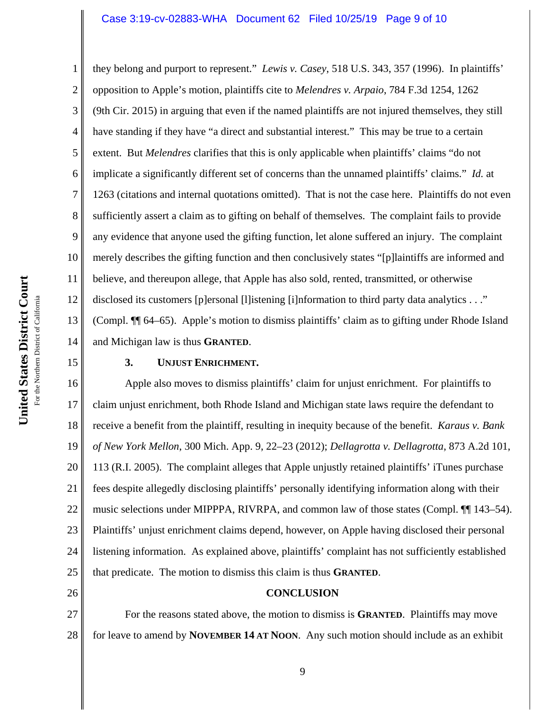### Case 3:19-cv-02883-WHA Document 62 Filed 10/25/19 Page 9 of 10

12 they belong and purport to represent." *Lewis v. Casey*, 518 U.S. 343, 357 (1996). In plaintiffs' opposition to Apple's motion, plaintiffs cite to *Melendres v. Arpaio*, 784 F.3d 1254, 1262 (9th Cir. 2015) in arguing that even if the named plaintiffs are not injured themselves, they still have standing if they have "a direct and substantial interest." This may be true to a certain extent. But *Melendres* clarifies that this is only applicable when plaintiffs' claims "do not implicate a significantly different set of concerns than the unnamed plaintiffs' claims." *Id.* at 1263 (citations and internal quotations omitted). That is not the case here. Plaintiffs do not even sufficiently assert a claim as to gifting on behalf of themselves. The complaint fails to provide any evidence that anyone used the gifting function, let alone suffered an injury. The complaint merely describes the gifting function and then conclusively states "[p]laintiffs are informed and believe, and thereupon allege, that Apple has also sold, rented, transmitted, or otherwise disclosed its customers [p]ersonal [l]istening [i]nformation to third party data analytics . . ." (Compl. ¶¶ 64–65). Apple's motion to dismiss plaintiffs' claim as to gifting under Rhode Island and Michigan law is thus **GRANTED**.

## 15

26

1

2

3

4

5

6

7

8

9

10

11

13

14

### **3. UNJUST ENRICHMENT.**

16 17 18 19 20 21 22 23 24 25 Apple also moves to dismiss plaintiffs' claim for unjust enrichment. For plaintiffs to claim unjust enrichment, both Rhode Island and Michigan state laws require the defendant to receive a benefit from the plaintiff, resulting in inequity because of the benefit. *Karaus v. Bank of New York Mellon*, 300 Mich. App. 9, 22–23 (2012); *Dellagrotta v. Dellagrotta*, 873 A.2d 101, 113 (R.I. 2005). The complaint alleges that Apple unjustly retained plaintiffs' iTunes purchase fees despite allegedly disclosing plaintiffs' personally identifying information along with their music selections under MIPPPA, RIVRPA, and common law of those states (Compl. ¶¶ 143–54). Plaintiffs' unjust enrichment claims depend, however, on Apple having disclosed their personal listening information. As explained above, plaintiffs' complaint has not sufficiently established that predicate. The motion to dismiss this claim is thus **GRANTED**.

# **CONCLUSION**

27 28 For the reasons stated above, the motion to dismiss is **GRANTED**. Plaintiffs may move for leave to amend by **NOVEMBER 14 AT NOON**. Any such motion should include as an exhibit